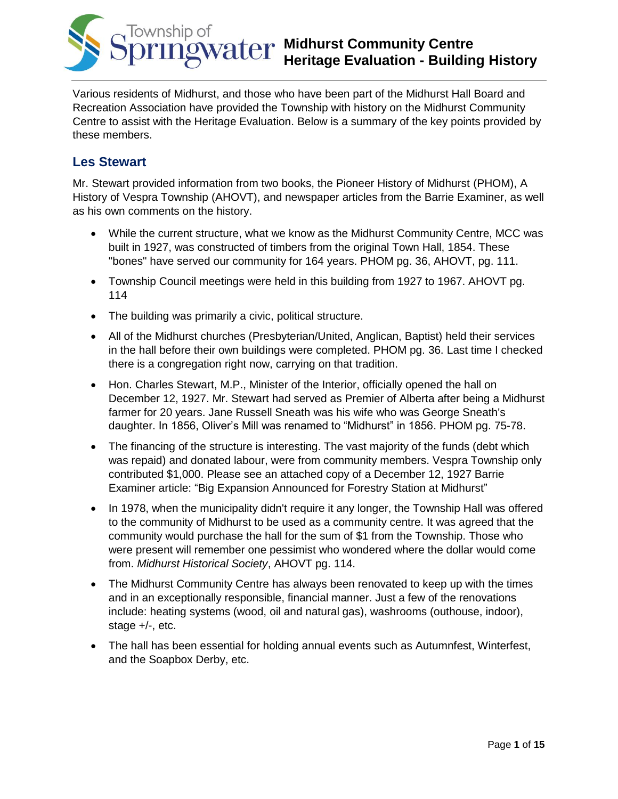

Various residents of Midhurst, and those who have been part of the Midhurst Hall Board and Recreation Association have provided the Township with history on the Midhurst Community Centre to assist with the Heritage Evaluation. Below is a summary of the key points provided by these members.

## **Les Stewart**

Mr. Stewart provided information from two books, the Pioneer History of Midhurst (PHOM), A History of Vespra Township (AHOVT), and newspaper articles from the Barrie Examiner, as well as his own comments on the history.

- While the current structure, what we know as the Midhurst Community Centre, MCC was built in 1927, was constructed of timbers from the original Town Hall, 1854. These "bones" have served our community for 164 years. PHOM pg. 36, AHOVT, pg. 111.
- Township Council meetings were held in this building from 1927 to 1967. AHOVT pg. 114
- The building was primarily a civic, political structure.
- All of the Midhurst churches (Presbyterian/United, Anglican, Baptist) held their services in the hall before their own buildings were completed. PHOM pg. 36. Last time I checked there is a congregation right now, carrying on that tradition.
- Hon. Charles Stewart, M.P., Minister of the Interior, officially opened the hall on December 12, 1927. Mr. Stewart had served as Premier of Alberta after being a Midhurst farmer for 20 years. Jane Russell Sneath was his wife who was George Sneath's daughter. In 1856, Oliver's Mill was renamed to "Midhurst" in 1856. PHOM pg. 75-78.
- The financing of the structure is interesting. The vast majority of the funds (debt which was repaid) and donated labour, were from community members. Vespra Township only contributed \$1,000. Please see an attached copy of a December 12, 1927 Barrie Examiner article: "Big Expansion Announced for Forestry Station at Midhurst"
- In 1978, when the municipality didn't require it any longer, the Township Hall was offered to the community of Midhurst to be used as a community centre. It was agreed that the community would purchase the hall for the sum of \$1 from the Township. Those who were present will remember one pessimist who wondered where the dollar would come from. *Midhurst Historical Society*, AHOVT pg. 114.
- The Midhurst Community Centre has always been renovated to keep up with the times and in an exceptionally responsible, financial manner. Just a few of the renovations include: heating systems (wood, oil and natural gas), washrooms (outhouse, indoor), stage +/-, etc.
- The hall has been essential for holding annual events such as Autumnfest, Winterfest, and the Soapbox Derby, etc.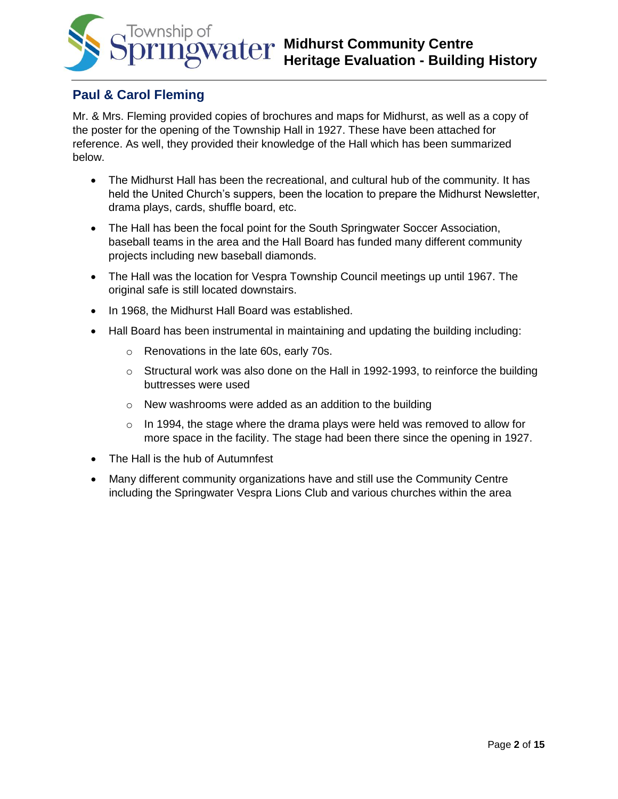

# **Paul & Carol Fleming**

Mr. & Mrs. Fleming provided copies of brochures and maps for Midhurst, as well as a copy of the poster for the opening of the Township Hall in 1927. These have been attached for reference. As well, they provided their knowledge of the Hall which has been summarized below.

- The Midhurst Hall has been the recreational, and cultural hub of the community. It has held the United Church's suppers, been the location to prepare the Midhurst Newsletter, drama plays, cards, shuffle board, etc.
- The Hall has been the focal point for the South Springwater Soccer Association, baseball teams in the area and the Hall Board has funded many different community projects including new baseball diamonds.
- The Hall was the location for Vespra Township Council meetings up until 1967. The original safe is still located downstairs.
- In 1968, the Midhurst Hall Board was established.
- Hall Board has been instrumental in maintaining and updating the building including:
	- o Renovations in the late 60s, early 70s.
	- $\circ$  Structural work was also done on the Hall in 1992-1993, to reinforce the building buttresses were used
	- o New washrooms were added as an addition to the building
	- $\circ$  In 1994, the stage where the drama plays were held was removed to allow for more space in the facility. The stage had been there since the opening in 1927.
- The Hall is the hub of Autumnfest
- Many different community organizations have and still use the Community Centre including the Springwater Vespra Lions Club and various churches within the area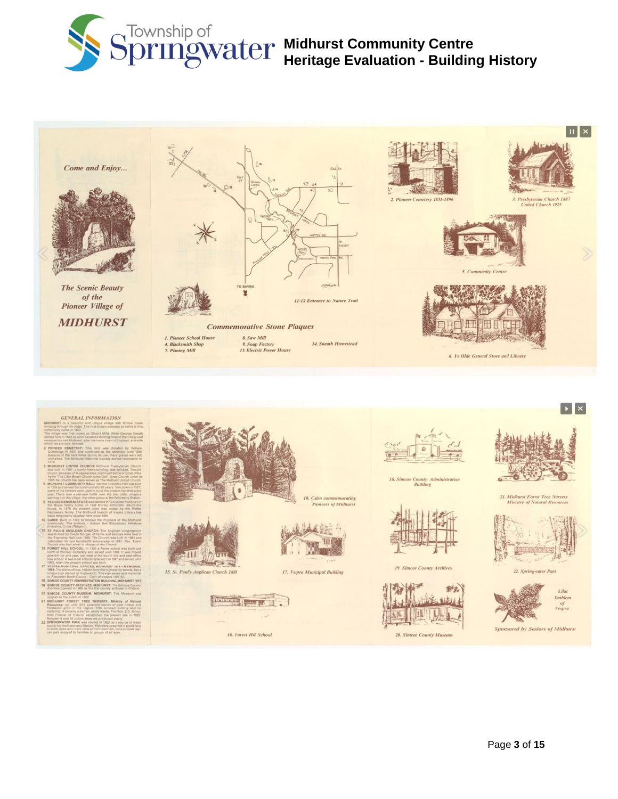



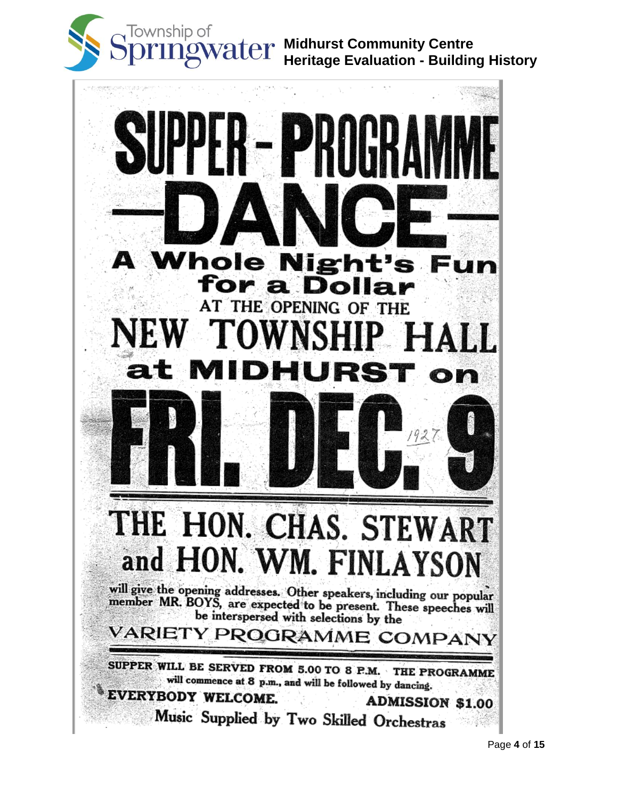

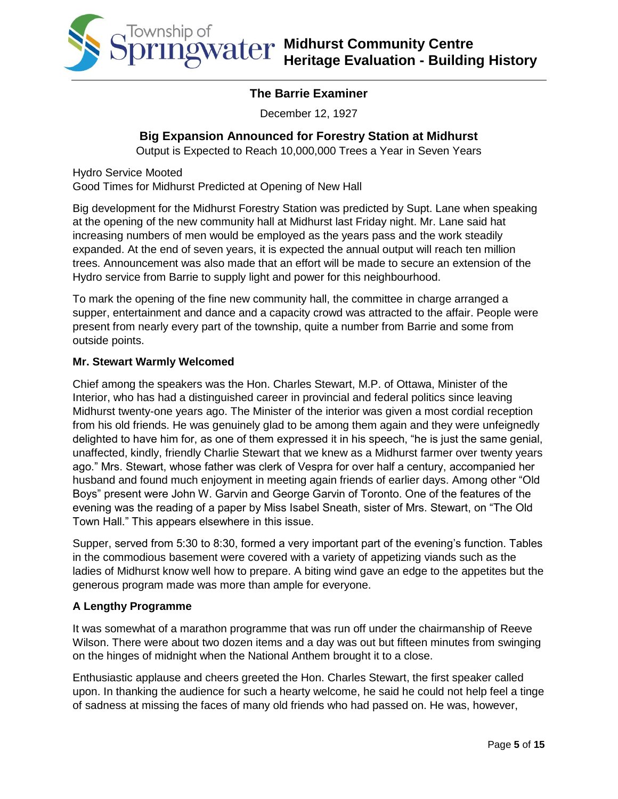

### **The Barrie Examiner**

December 12, 1927

### **Big Expansion Announced for Forestry Station at Midhurst**

Output is Expected to Reach 10,000,000 Trees a Year in Seven Years

Hydro Service Mooted Good Times for Midhurst Predicted at Opening of New Hall

Big development for the Midhurst Forestry Station was predicted by Supt. Lane when speaking at the opening of the new community hall at Midhurst last Friday night. Mr. Lane said hat increasing numbers of men would be employed as the years pass and the work steadily expanded. At the end of seven years, it is expected the annual output will reach ten million trees. Announcement was also made that an effort will be made to secure an extension of the Hydro service from Barrie to supply light and power for this neighbourhood.

To mark the opening of the fine new community hall, the committee in charge arranged a supper, entertainment and dance and a capacity crowd was attracted to the affair. People were present from nearly every part of the township, quite a number from Barrie and some from outside points.

### **Mr. Stewart Warmly Welcomed**

Chief among the speakers was the Hon. Charles Stewart, M.P. of Ottawa, Minister of the Interior, who has had a distinguished career in provincial and federal politics since leaving Midhurst twenty-one years ago. The Minister of the interior was given a most cordial reception from his old friends. He was genuinely glad to be among them again and they were unfeignedly delighted to have him for, as one of them expressed it in his speech, "he is just the same genial, unaffected, kindly, friendly Charlie Stewart that we knew as a Midhurst farmer over twenty years ago." Mrs. Stewart, whose father was clerk of Vespra for over half a century, accompanied her husband and found much enjoyment in meeting again friends of earlier days. Among other "Old Boys" present were John W. Garvin and George Garvin of Toronto. One of the features of the evening was the reading of a paper by Miss Isabel Sneath, sister of Mrs. Stewart, on "The Old Town Hall." This appears elsewhere in this issue.

Supper, served from 5:30 to 8:30, formed a very important part of the evening's function. Tables in the commodious basement were covered with a variety of appetizing viands such as the ladies of Midhurst know well how to prepare. A biting wind gave an edge to the appetites but the generous program made was more than ample for everyone.

### **A Lengthy Programme**

It was somewhat of a marathon programme that was run off under the chairmanship of Reeve Wilson. There were about two dozen items and a day was out but fifteen minutes from swinging on the hinges of midnight when the National Anthem brought it to a close.

Enthusiastic applause and cheers greeted the Hon. Charles Stewart, the first speaker called upon. In thanking the audience for such a hearty welcome, he said he could not help feel a tinge of sadness at missing the faces of many old friends who had passed on. He was, however,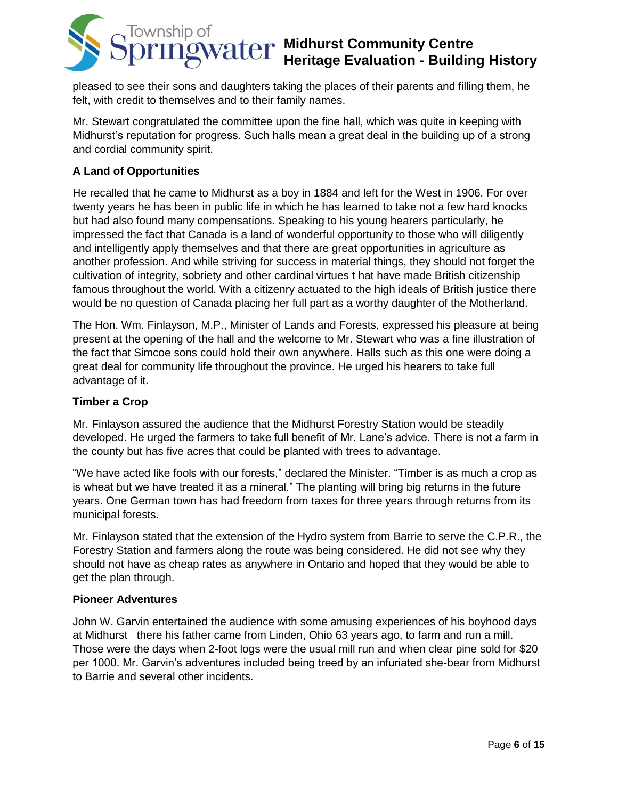

pleased to see their sons and daughters taking the places of their parents and filling them, he felt, with credit to themselves and to their family names.

Mr. Stewart congratulated the committee upon the fine hall, which was quite in keeping with Midhurst's reputation for progress. Such halls mean a great deal in the building up of a strong and cordial community spirit.

### **A Land of Opportunities**

He recalled that he came to Midhurst as a boy in 1884 and left for the West in 1906. For over twenty years he has been in public life in which he has learned to take not a few hard knocks but had also found many compensations. Speaking to his young hearers particularly, he impressed the fact that Canada is a land of wonderful opportunity to those who will diligently and intelligently apply themselves and that there are great opportunities in agriculture as another profession. And while striving for success in material things, they should not forget the cultivation of integrity, sobriety and other cardinal virtues t hat have made British citizenship famous throughout the world. With a citizenry actuated to the high ideals of British justice there would be no question of Canada placing her full part as a worthy daughter of the Motherland.

The Hon. Wm. Finlayson, M.P., Minister of Lands and Forests, expressed his pleasure at being present at the opening of the hall and the welcome to Mr. Stewart who was a fine illustration of the fact that Simcoe sons could hold their own anywhere. Halls such as this one were doing a great deal for community life throughout the province. He urged his hearers to take full advantage of it.

### **Timber a Crop**

Mr. Finlayson assured the audience that the Midhurst Forestry Station would be steadily developed. He urged the farmers to take full benefit of Mr. Lane's advice. There is not a farm in the county but has five acres that could be planted with trees to advantage.

"We have acted like fools with our forests," declared the Minister. "Timber is as much a crop as is wheat but we have treated it as a mineral." The planting will bring big returns in the future years. One German town has had freedom from taxes for three years through returns from its municipal forests.

Mr. Finlayson stated that the extension of the Hydro system from Barrie to serve the C.P.R., the Forestry Station and farmers along the route was being considered. He did not see why they should not have as cheap rates as anywhere in Ontario and hoped that they would be able to get the plan through.

### **Pioneer Adventures**

John W. Garvin entertained the audience with some amusing experiences of his boyhood days at Midhurst there his father came from Linden, Ohio 63 years ago, to farm and run a mill. Those were the days when 2-foot logs were the usual mill run and when clear pine sold for \$20 per 1000. Mr. Garvin's adventures included being treed by an infuriated she-bear from Midhurst to Barrie and several other incidents.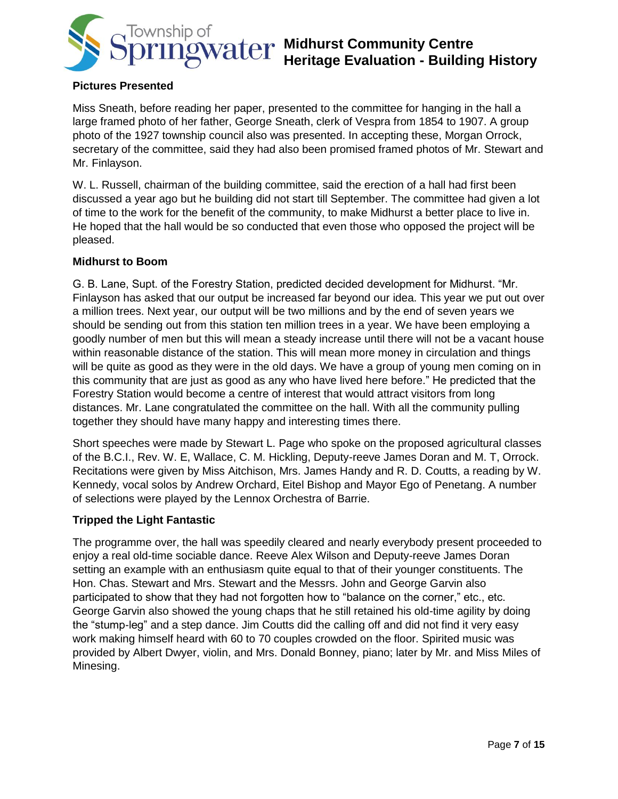

### **Pictures Presented**

Miss Sneath, before reading her paper, presented to the committee for hanging in the hall a large framed photo of her father, George Sneath, clerk of Vespra from 1854 to 1907. A group photo of the 1927 township council also was presented. In accepting these, Morgan Orrock, secretary of the committee, said they had also been promised framed photos of Mr. Stewart and Mr. Finlayson.

W. L. Russell, chairman of the building committee, said the erection of a hall had first been discussed a year ago but he building did not start till September. The committee had given a lot of time to the work for the benefit of the community, to make Midhurst a better place to live in. He hoped that the hall would be so conducted that even those who opposed the project will be pleased.

#### **Midhurst to Boom**

G. B. Lane, Supt. of the Forestry Station, predicted decided development for Midhurst. "Mr. Finlayson has asked that our output be increased far beyond our idea. This year we put out over a million trees. Next year, our output will be two millions and by the end of seven years we should be sending out from this station ten million trees in a year. We have been employing a goodly number of men but this will mean a steady increase until there will not be a vacant house within reasonable distance of the station. This will mean more money in circulation and things will be quite as good as they were in the old days. We have a group of young men coming on in this community that are just as good as any who have lived here before." He predicted that the Forestry Station would become a centre of interest that would attract visitors from long distances. Mr. Lane congratulated the committee on the hall. With all the community pulling together they should have many happy and interesting times there.

Short speeches were made by Stewart L. Page who spoke on the proposed agricultural classes of the B.C.I., Rev. W. E, Wallace, C. M. Hickling, Deputy-reeve James Doran and M. T, Orrock. Recitations were given by Miss Aitchison, Mrs. James Handy and R. D. Coutts, a reading by W. Kennedy, vocal solos by Andrew Orchard, Eitel Bishop and Mayor Ego of Penetang. A number of selections were played by the Lennox Orchestra of Barrie.

### **Tripped the Light Fantastic**

The programme over, the hall was speedily cleared and nearly everybody present proceeded to enjoy a real old-time sociable dance. Reeve Alex Wilson and Deputy-reeve James Doran setting an example with an enthusiasm quite equal to that of their younger constituents. The Hon. Chas. Stewart and Mrs. Stewart and the Messrs. John and George Garvin also participated to show that they had not forgotten how to "balance on the corner," etc., etc. George Garvin also showed the young chaps that he still retained his old-time agility by doing the "stump-leg" and a step dance. Jim Coutts did the calling off and did not find it very easy work making himself heard with 60 to 70 couples crowded on the floor. Spirited music was provided by Albert Dwyer, violin, and Mrs. Donald Bonney, piano; later by Mr. and Miss Miles of Minesing.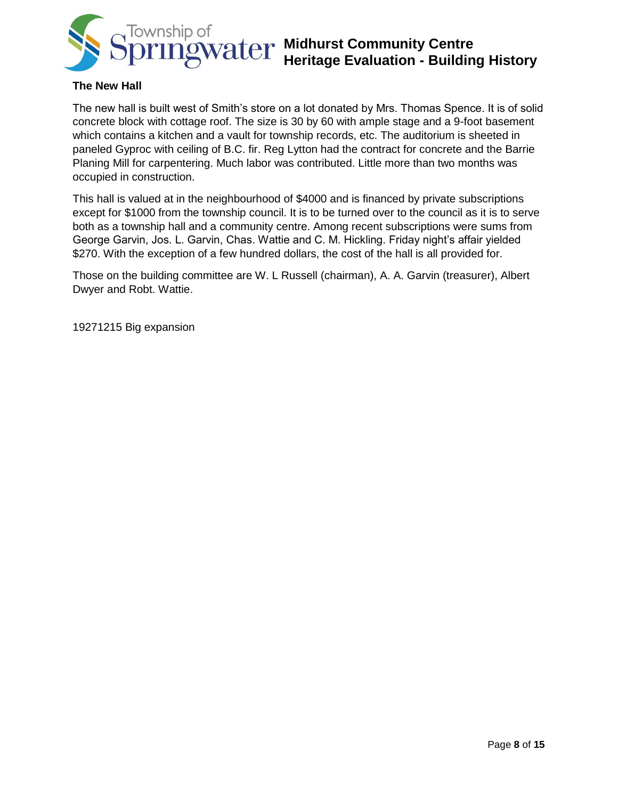

#### **The New Hall**

The new hall is built west of Smith's store on a lot donated by Mrs. Thomas Spence. It is of solid concrete block with cottage roof. The size is 30 by 60 with ample stage and a 9-foot basement which contains a kitchen and a vault for township records, etc. The auditorium is sheeted in paneled Gyproc with ceiling of B.C. fir. Reg Lytton had the contract for concrete and the Barrie Planing Mill for carpentering. Much labor was contributed. Little more than two months was occupied in construction.

This hall is valued at in the neighbourhood of \$4000 and is financed by private subscriptions except for \$1000 from the township council. It is to be turned over to the council as it is to serve both as a township hall and a community centre. Among recent subscriptions were sums from George Garvin, Jos. L. Garvin, Chas. Wattie and C. M. Hickling. Friday night's affair yielded \$270. With the exception of a few hundred dollars, the cost of the hall is all provided for.

Those on the building committee are W. L Russell (chairman), A. A. Garvin (treasurer), Albert Dwyer and Robt. Wattie.

19271215 Big expansion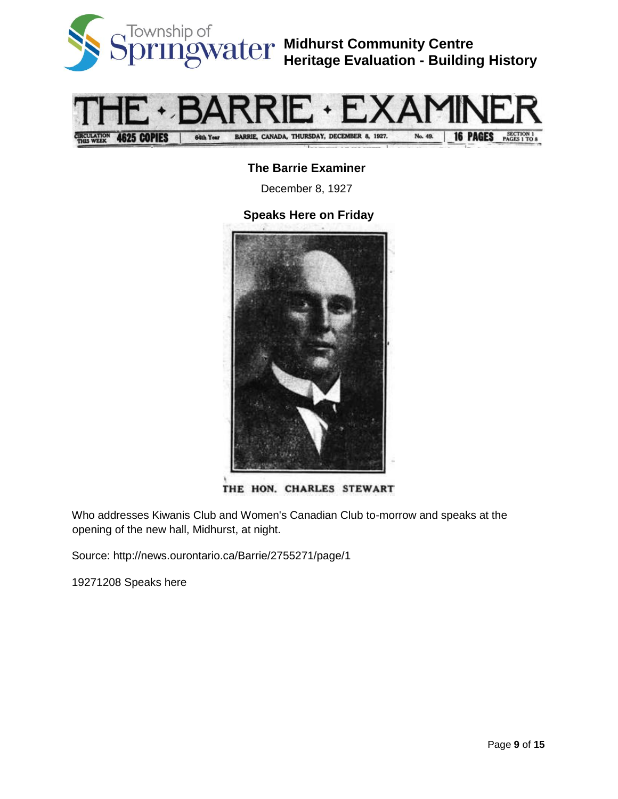



### **The Barrie Examiner**

December 8, 1927

### **Speaks Here on Friday**



THE HON. CHARLES STEWART

Who addresses Kiwanis Club and Women's Canadian Club to-morrow and speaks at the opening of the new hall, Midhurst, at night.

Source: http://news.ourontario.ca/Barrie/2755271/page/1

19271208 Speaks here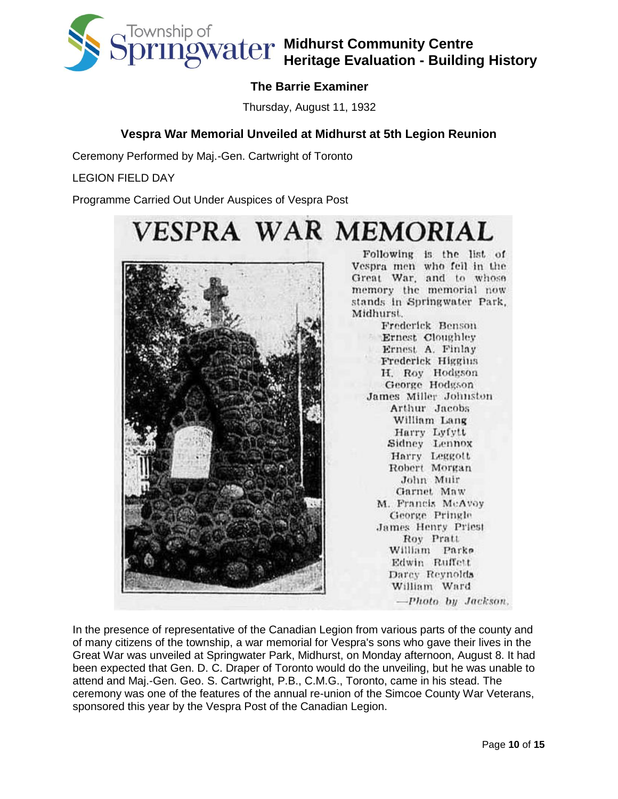

## **The Barrie Examiner**

Thursday, August 11, 1932

### **Vespra War Memorial Unveiled at Midhurst at 5th Legion Reunion**

Ceremony Performed by Maj.-Gen. Cartwright of Toronto

LEGION FIELD DAY

Programme Carried Out Under Auspices of Vespra Post



In the presence of representative of the Canadian Legion from various parts of the county and of many citizens of the township, a war memorial for Vespra's sons who gave their lives in the Great War was unveiled at Springwater Park, Midhurst, on Monday afternoon, August 8. It had been expected that Gen. D. C. Draper of Toronto would do the unveiling, but he was unable to attend and Maj.-Gen. Geo. S. Cartwright, P.B., C.M.G., Toronto, came in his stead. The ceremony was one of the features of the annual re-union of the Simcoe County War Veterans, sponsored this year by the Vespra Post of the Canadian Legion.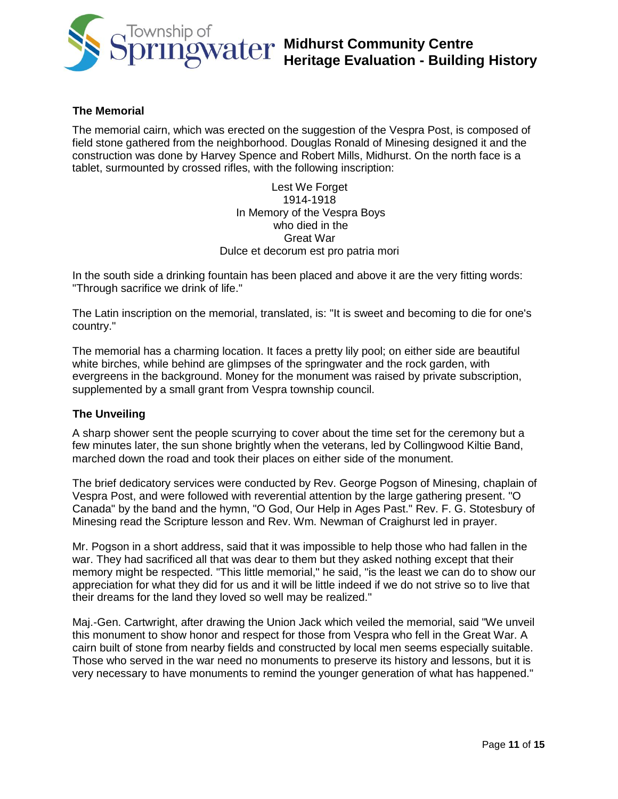

#### **The Memorial**

The memorial cairn, which was erected on the suggestion of the Vespra Post, is composed of field stone gathered from the neighborhood. Douglas Ronald of Minesing designed it and the construction was done by Harvey Spence and Robert Mills, Midhurst. On the north face is a tablet, surmounted by crossed rifles, with the following inscription:

> Lest We Forget 1914-1918 In Memory of the Vespra Boys who died in the Great War Dulce et decorum est pro patria mori

In the south side a drinking fountain has been placed and above it are the very fitting words: "Through sacrifice we drink of life."

The Latin inscription on the memorial, translated, is: "It is sweet and becoming to die for one's country."

The memorial has a charming location. It faces a pretty lily pool; on either side are beautiful white birches, while behind are glimpses of the springwater and the rock garden, with evergreens in the background. Money for the monument was raised by private subscription, supplemented by a small grant from Vespra township council.

#### **The Unveiling**

A sharp shower sent the people scurrying to cover about the time set for the ceremony but a few minutes later, the sun shone brightly when the veterans, led by Collingwood Kiltie Band, marched down the road and took their places on either side of the monument.

The brief dedicatory services were conducted by Rev. George Pogson of Minesing, chaplain of Vespra Post, and were followed with reverential attention by the large gathering present. "O Canada" by the band and the hymn, "O God, Our Help in Ages Past." Rev. F. G. Stotesbury of Minesing read the Scripture lesson and Rev. Wm. Newman of Craighurst led in prayer.

Mr. Pogson in a short address, said that it was impossible to help those who had fallen in the war. They had sacrificed all that was dear to them but they asked nothing except that their memory might be respected. "This little memorial," he said, "is the least we can do to show our appreciation for what they did for us and it will be little indeed if we do not strive so to live that their dreams for the land they loved so well may be realized."

Maj.-Gen. Cartwright, after drawing the Union Jack which veiled the memorial, said "We unveil this monument to show honor and respect for those from Vespra who fell in the Great War. A cairn built of stone from nearby fields and constructed by local men seems especially suitable. Those who served in the war need no monuments to preserve its history and lessons, but it is very necessary to have monuments to remind the younger generation of what has happened."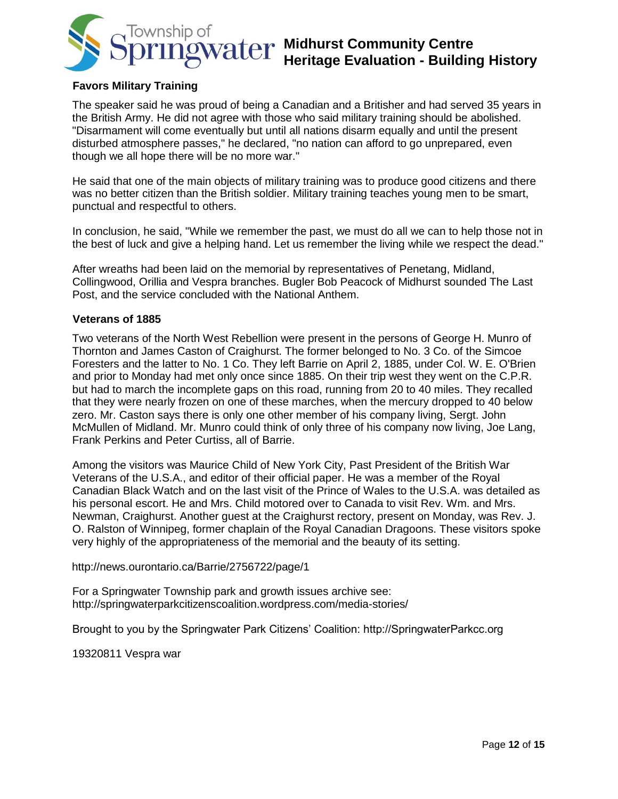

#### **Favors Military Training**

The speaker said he was proud of being a Canadian and a Britisher and had served 35 years in the British Army. He did not agree with those who said military training should be abolished. "Disarmament will come eventually but until all nations disarm equally and until the present disturbed atmosphere passes," he declared, "no nation can afford to go unprepared, even though we all hope there will be no more war."

He said that one of the main objects of military training was to produce good citizens and there was no better citizen than the British soldier. Military training teaches young men to be smart, punctual and respectful to others.

In conclusion, he said, "While we remember the past, we must do all we can to help those not in the best of luck and give a helping hand. Let us remember the living while we respect the dead."

After wreaths had been laid on the memorial by representatives of Penetang, Midland, Collingwood, Orillia and Vespra branches. Bugler Bob Peacock of Midhurst sounded The Last Post, and the service concluded with the National Anthem.

#### **Veterans of 1885**

Two veterans of the North West Rebellion were present in the persons of George H. Munro of Thornton and James Caston of Craighurst. The former belonged to No. 3 Co. of the Simcoe Foresters and the latter to No. 1 Co. They left Barrie on April 2, 1885, under Col. W. E. O'Brien and prior to Monday had met only once since 1885. On their trip west they went on the C.P.R. but had to march the incomplete gaps on this road, running from 20 to 40 miles. They recalled that they were nearly frozen on one of these marches, when the mercury dropped to 40 below zero. Mr. Caston says there is only one other member of his company living, Sergt. John McMullen of Midland. Mr. Munro could think of only three of his company now living, Joe Lang, Frank Perkins and Peter Curtiss, all of Barrie.

Among the visitors was Maurice Child of New York City, Past President of the British War Veterans of the U.S.A., and editor of their official paper. He was a member of the Royal Canadian Black Watch and on the last visit of the Prince of Wales to the U.S.A. was detailed as his personal escort. He and Mrs. Child motored over to Canada to visit Rev. Wm. and Mrs. Newman, Craighurst. Another guest at the Craighurst rectory, present on Monday, was Rev. J. O. Ralston of Winnipeg, former chaplain of the Royal Canadian Dragoons. These visitors spoke very highly of the appropriateness of the memorial and the beauty of its setting.

http://news.ourontario.ca/Barrie/2756722/page/1

For a Springwater Township park and growth issues archive see: http://springwaterparkcitizenscoalition.wordpress.com/media-stories/

Brought to you by the Springwater Park Citizens' Coalition: http://SpringwaterParkcc.org

19320811 Vespra war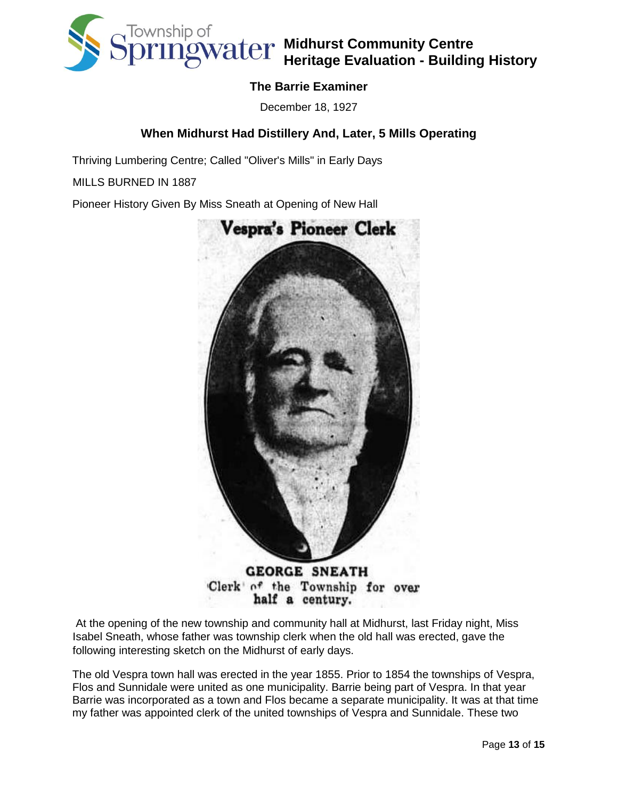

### **The Barrie Examiner**

December 18, 1927

### **When Midhurst Had Distillery And, Later, 5 Mills Operating**

Thriving Lumbering Centre; Called "Oliver's Mills" in Early Days

MILLS BURNED IN 1887

Pioneer History Given By Miss Sneath at Opening of New Hall



half a century.

At the opening of the new township and community hall at Midhurst, last Friday night, Miss Isabel Sneath, whose father was township clerk when the old hall was erected, gave the following interesting sketch on the Midhurst of early days.

The old Vespra town hall was erected in the year 1855. Prior to 1854 the townships of Vespra, Flos and Sunnidale were united as one municipality. Barrie being part of Vespra. In that year Barrie was incorporated as a town and Flos became a separate municipality. It was at that time my father was appointed clerk of the united townships of Vespra and Sunnidale. These two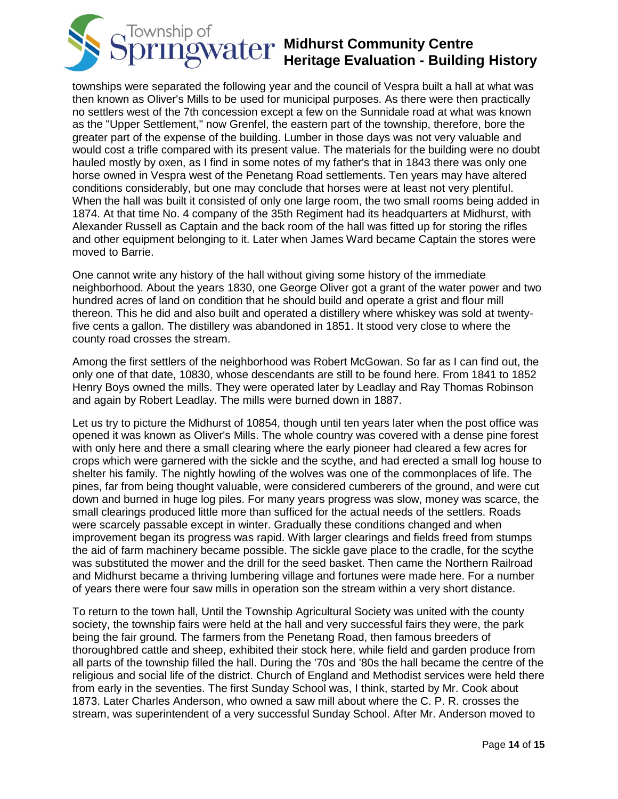

townships were separated the following year and the council of Vespra built a hall at what was then known as Oliver's Mills to be used for municipal purposes. As there were then practically no settlers west of the 7th concession except a few on the Sunnidale road at what was known as the "Upper Settlement," now Grenfel, the eastern part of the township, therefore, bore the greater part of the expense of the building. Lumber in those days was not very valuable and would cost a trifle compared with its present value. The materials for the building were no doubt hauled mostly by oxen, as I find in some notes of my father's that in 1843 there was only one horse owned in Vespra west of the Penetang Road settlements. Ten years may have altered conditions considerably, but one may conclude that horses were at least not very plentiful. When the hall was built it consisted of only one large room, the two small rooms being added in 1874. At that time No. 4 company of the 35th Regiment had its headquarters at Midhurst, with Alexander Russell as Captain and the back room of the hall was fitted up for storing the rifles and other equipment belonging to it. Later when James Ward became Captain the stores were moved to Barrie.

One cannot write any history of the hall without giving some history of the immediate neighborhood. About the years 1830, one George Oliver got a grant of the water power and two hundred acres of land on condition that he should build and operate a grist and flour mill thereon. This he did and also built and operated a distillery where whiskey was sold at twentyfive cents a gallon. The distillery was abandoned in 1851. It stood very close to where the county road crosses the stream.

Among the first settlers of the neighborhood was Robert McGowan. So far as I can find out, the only one of that date, 10830, whose descendants are still to be found here. From 1841 to 1852 Henry Boys owned the mills. They were operated later by Leadlay and Ray Thomas Robinson and again by Robert Leadlay. The mills were burned down in 1887.

Let us try to picture the Midhurst of 10854, though until ten years later when the post office was opened it was known as Oliver's Mills. The whole country was covered with a dense pine forest with only here and there a small clearing where the early pioneer had cleared a few acres for crops which were garnered with the sickle and the scythe, and had erected a small log house to shelter his family. The nightly howling of the wolves was one of the commonplaces of life. The pines, far from being thought valuable, were considered cumberers of the ground, and were cut down and burned in huge log piles. For many years progress was slow, money was scarce, the small clearings produced little more than sufficed for the actual needs of the settlers. Roads were scarcely passable except in winter. Gradually these conditions changed and when improvement began its progress was rapid. With larger clearings and fields freed from stumps the aid of farm machinery became possible. The sickle gave place to the cradle, for the scythe was substituted the mower and the drill for the seed basket. Then came the Northern Railroad and Midhurst became a thriving lumbering village and fortunes were made here. For a number of years there were four saw mills in operation son the stream within a very short distance.

To return to the town hall, Until the Township Agricultural Society was united with the county society, the township fairs were held at the hall and very successful fairs they were, the park being the fair ground. The farmers from the Penetang Road, then famous breeders of thoroughbred cattle and sheep, exhibited their stock here, while field and garden produce from all parts of the township filled the hall. During the '70s and '80s the hall became the centre of the religious and social life of the district. Church of England and Methodist services were held there from early in the seventies. The first Sunday School was, I think, started by Mr. Cook about 1873. Later Charles Anderson, who owned a saw mill about where the C. P. R. crosses the stream, was superintendent of a very successful Sunday School. After Mr. Anderson moved to